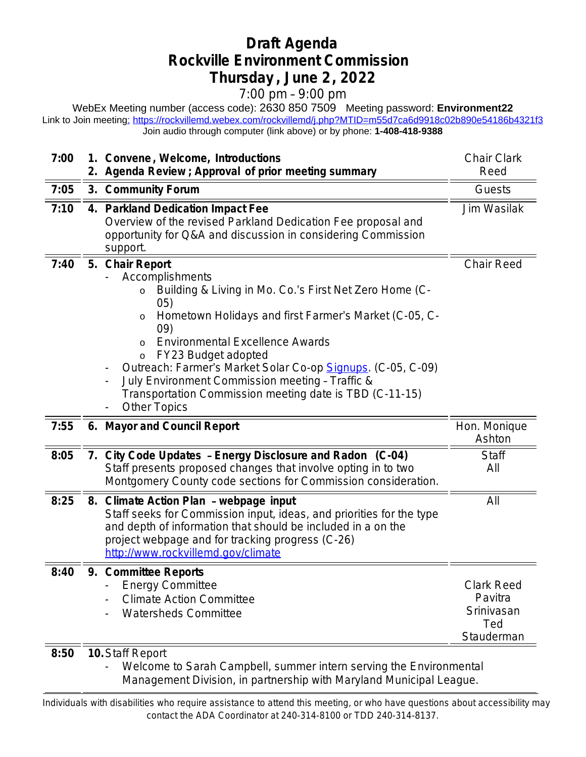## **Draft Agenda Rockville Environment Commission Thursday , June 2, 2022**

7:00 pm – 9:00 pm

WebEx Meeting number (access code): 2630 850 7509 Meeting password: **Environment22** Link to Join meetin[g:](https://rockvillemd.webex.com/rockvillemd/j.php?MTID=m55d7ca6d9918c02b890e54186b4321f3) <https://rockvillemd.webex.com/rockvillemd/j.php?MTID=m55d7ca6d9918c02b890e54186b4321f3> [Join audio through computer \(link above\) or by phone:](https://rockvillemd.webex.com/rockvillemd/j.php?MTID=m55d7ca6d9918c02b890e54186b4321f3) **[1-408-418-9388](https://rockvillemd.webex.com/rockvillemd/j.php?MTID=m55d7ca6d9918c02b890e54186b4321f3)**

| 7:00 |    | 1. Convene, Welcome, Introductions<br>2. Agenda Review ; Approval of prior meeting summary                                                                                                                                                                                                                                                                                                                                                                          | <b>Chair Clark</b><br>Reed                                      |
|------|----|---------------------------------------------------------------------------------------------------------------------------------------------------------------------------------------------------------------------------------------------------------------------------------------------------------------------------------------------------------------------------------------------------------------------------------------------------------------------|-----------------------------------------------------------------|
| 7:05 |    | 3. Community Forum                                                                                                                                                                                                                                                                                                                                                                                                                                                  | Guests                                                          |
| 7:10 | 4. | <b>Parkland Dedication Impact Fee</b><br>Overview of the revised Parkland Dedication Fee proposal and<br>opportunity for Q&A and discussion in considering Commission<br>support.                                                                                                                                                                                                                                                                                   | Jim Wasilak                                                     |
| 7:40 |    | 5. Chair Report<br>Accomplishments<br>Building & Living in Mo. Co.'s First Net Zero Home (C-<br>05)<br>Hometown Holidays and first Farmer's Market (C-05, C-<br>$\circ$<br>09)<br><b>Environmental Excellence Awards</b><br>$\circ$<br>FY23 Budget adopted<br>O<br>Outreach: Farmer's Market Solar Co-op Signups. (C-05, C-09)<br>July Environment Commission meeting - Traffic &<br>Transportation Commission meeting date is TBD (C-11-15)<br><b>Other Topics</b> | <b>Chair Reed</b>                                               |
| 7:55 |    | 6. Mayor and Council Report                                                                                                                                                                                                                                                                                                                                                                                                                                         | Hon. Monique<br>Ashton                                          |
| 8:05 |    | 7. City Code Updates - Energy Disclosure and Radon (C-04)<br>Staff presents proposed changes that involve opting in to two<br>Montgomery County code sections for Commission consideration.                                                                                                                                                                                                                                                                         | <b>Staff</b><br>All                                             |
| 8:25 |    | 8. Climate Action Plan - webpage input<br>Staff seeks for Commission input, ideas, and priorities for the type<br>and depth of information that should be included in a on the<br>project webpage and for tracking progress (C-26)<br>http://www.rockvillemd.gov/climate                                                                                                                                                                                            | All                                                             |
| 8:40 |    | 9. Committee Reports<br><b>Energy Committee</b><br><b>Climate Action Committee</b><br><b>Watersheds Committee</b>                                                                                                                                                                                                                                                                                                                                                   | <b>Clark Reed</b><br>Pavitra<br>Srinivasan<br>Ted<br>Stauderman |
| 8:50 |    | 10. Staff Report                                                                                                                                                                                                                                                                                                                                                                                                                                                    |                                                                 |

- Welcome to Sarah Campbell, summer intern serving the Environmental Management Division, in partnership with Maryland Municipal League.

 Individuals with disabilities who require assistance to attend this meeting, or who have questions about accessibility may contact the ADA Coordinator at 240-314-8100 or TDD 240-314-8137.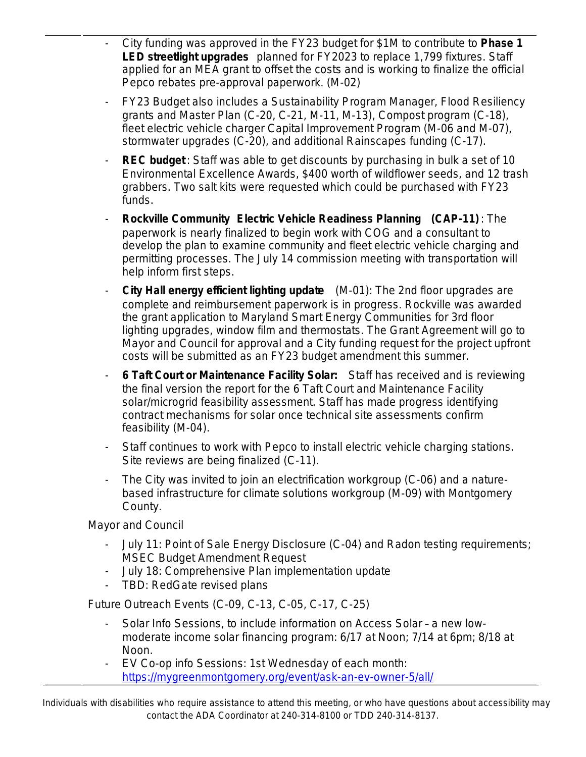- City funding was approved in the FY23 budget for \$1M to contribute to **Phase 1 LED streetlight upgrades** planned for FY2023 to replace 1,799 fixtures. Staff applied for an MEA grant to offset the costs and is working to finalize the official Pepco rebates pre-approval paperwork. (M-02)
- FY23 Budget also includes a Sustainability Program Manager, Flood Resiliency grants and Master Plan (C-20, C-21, M-11, M-13), Compost program (C-18), fleet electric vehicle charger Capital Improvement Program (M-06 and M-07), stormwater upgrades (C-20), and additional Rainscapes funding (C-17).
- **REC budget**: Staff was able to get discounts by purchasing in bulk a set of 10 Environmental Excellence Awards, \$400 worth of wildflower seeds, and 12 trash grabbers. Two salt kits were requested which could be purchased with FY23 funds.
- **Rockville Community Electric Vehicle Readiness Planning (CAP-11)**: The paperwork is nearly finalized to begin work with COG and a consultant to develop the plan to examine community and fleet electric vehicle charging and permitting processes. The July 14 commission meeting with transportation will help inform first steps.
- **City Hall energy efficient lighting update** (M-01): The 2nd floor upgrades are complete and reimbursement paperwork is in progress. Rockville was awarded the grant application to Maryland Smart Energy Communities for 3rd floor lighting upgrades, window film and thermostats. The Grant Agreement will go to Mayor and Council for approval and a City funding request for the project upfront costs will be submitted as an FY23 budget amendment this summer.
- **6 Taft Court or Maintenance Facility Solar:** Staff has received and is reviewing the final version the report for the 6 Taft Court and Maintenance Facility solar/microgrid feasibility assessment. Staff has made progress identifying contract mechanisms for solar once technical site assessments confirm feasibility (M-04).
- Staff continues to work with Pepco to install electric vehicle charging stations. Site reviews are being finalized (C-11).
- The City was invited to join an electrification workgroup (C-06) and a naturebased infrastructure for climate solutions workgroup (M-09) with Montgomery County.

Mayor and Council

- July 11: Point of Sale Energy Disclosure (C-04) and Radon testing requirements; MSEC Budget Amendment Request
- July 18: Comprehensive Plan implementation update
- TBD: RedGate revised plans

Future Outreach Events (C-09, C-13, C-05, C-17, C-25)

- Solar Info Sessions, to include information on Access Solar a new lowmoderate income solar financing program: 6/17 at Noon; 7/14 at 6pm; 8/18 at Noon.
- EV Co-op info Sessions: 1st Wednesday of each month: <https://mygreenmontgomery.org/event/ask-an-ev-owner-5/all/>

 Individuals with disabilities who require assistance to attend this meeting, or who have questions about accessibility may contact the ADA Coordinator at 240-314-8100 or TDD 240-314-8137.